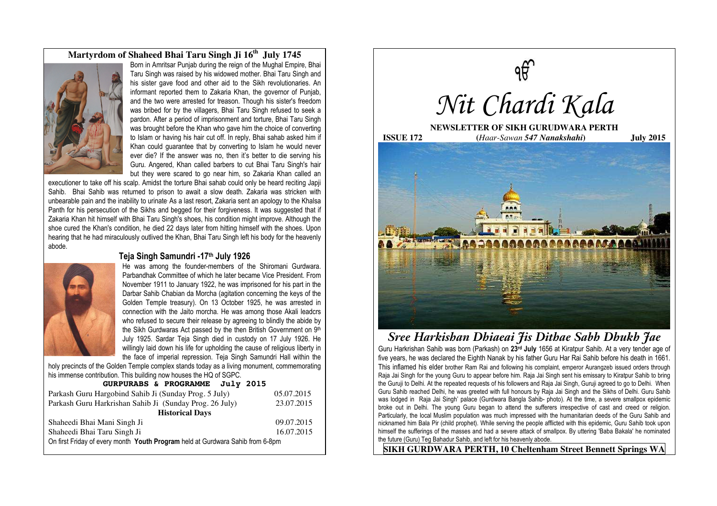## **Martyrdom of Shaheed Bhai Taru Singh Ji 16th July 1745**



Born in Amritsar Punjab during the reign of the Mughal Empire, Bhai Taru Singh was raised by his widowed mother. Bhai Taru Singh and his sister gave food and other aid to the Sikh revolutionaries. An informant reported them to Zakaria Khan, the governor of Punjab, and the two were arrested for treason. Though his sister's freedom was bribed for by the villagers, Bhai Taru Singh refused to seek a pardon. After a period of imprisonment and torture, Bhai Taru Singh was brought before the Khan who gave him the choice of converting to Islam or having his hair cut off. In reply, Bhai sahab asked him if Khan could guarantee that by converting to Islam he would never ever die? If the answer was no, then it's better to die serving his Guru. Angered, Khan called barbers to cut Bhai Taru Singh's hair but they were scared to go near him, so Zakaria Khan called an

executioner to take off his scalp. Amidst the torture Bhai sahab could only be heard reciting Japji Sahib. Bhai Sahib was returned to prison to await a slow death. Zakaria was stricken with unbearable pain and the inability to urinate. As a last resort, Zakaria sent an apology to the Khalsa Panth for his persecution of the Sikhs and begged for their forgiveness. It was suggested that if Zakaria Khan hit himself with Bhai Taru Singh's shoes, his condition might improve. Although the shoe cured the Khan's condition, he died 22 days later from hitting himself with the shoes. Upon hearing that he had miraculously outlived the Khan, Bhai Taru Singh left his body for the heavenly abode.

### **Teja Singh Samundri -17th July 1926**



He was among the founder-members of the Shiromani Gurdwara. Parbandhak Committee of which he later became Vice President. From November 1911 to January 1922, he was imprisoned for his part in the Darbar Sahib Chabian da Morcha (agitation concerning the keys of the Golden Temple treasury). On 13 October 1925, he was arrested in connection with the Jaito morcha. He was among those Akali leadcrs who refused to secure their release by agreeing to blindly the abide by the Sikh Gurdwaras Act passed by the then British Government on 9th July 1925. Sardar Teja Singh died in custody on 17 July 1926. He willingly laid down his life for upholding the cause of religious liberty in the face of imperial repression. Teja Singh Samundri Hall within the

holy precincts of the Golden Temple complex stands today as a living monument, commemorating his immense contribution. This building now houses the HQ of SGPC.

| GURPURABS & PROGRAMME<br><b>Julv 2015</b>                                      |            |  |
|--------------------------------------------------------------------------------|------------|--|
| Parkash Guru Hargobind Sahib Ji (Sunday Prog. 5 July)                          | 05.07.2015 |  |
| Parkash Guru Harkrishan Sahib Ji (Sunday Prog. 26 July)                        | 23.07.2015 |  |
| <b>Historical Days</b>                                                         |            |  |
| Shaheedi Bhai Mani Singh Ji                                                    | 09.07.2015 |  |
| Shaheedi Bhai Taru Singh Ji                                                    | 16.07.2015 |  |
| On first Friday of every month Youth Program held at Gurdwara Sahib from 6-8pm |            |  |
|                                                                                |            |  |



# **Sree Harkishan Dhiaeai Fis Dithae Sabh Dhukh Jae**

Guru Harkrishan Sahib was born (Parkash) on **23rd July** 1656 at Kiratpur Sahib. At a very tender age of five years, he was declared the Eighth Nanak by his father Guru Har Rai Sahib before his death in 1661. This inflamed his elder brother Ram Rai and following his complaint, emperor Aurangzeb issued orders through Raja Jai Singh for the young Guru to appear before him. Raja Jai Singh sent his emissary to Kiratpur Sahib to bring the Guruji to Delhi. At the repeated requests of his followers and Raja Jai Singh, Guruji agreed to go to Delhi. When Guru Sahib reached Delhi, he was greeted with full honours by Raja Jai Singh and the Sikhs of Delhi. Guru Sahib was lodged in Raja Jai Singh' palace (Gurdwara Bangla Sahib- photo). At the time, a severe smallpox epidemic broke out in Delhi. The young Guru began to attend the sufferers irrespective of cast and creed or religion. Particularly, the local Muslim population was much impressed with the humanitarian deeds of the Guru Sahib and nicknamed him Bala Pir (child prophet). While serving the people afflicted with this epidemic, Guru Sahib took upon himself the sufferings of the masses and had a severe attack of smallpox. By uttering 'Baba Bakala' he nominated the future (Guru) Teg Bahadur Sahib, and left for his heavenly abode.

**SIKH GURDWARA PERTH, 10 Cheltenham Street Bennett Springs WA**